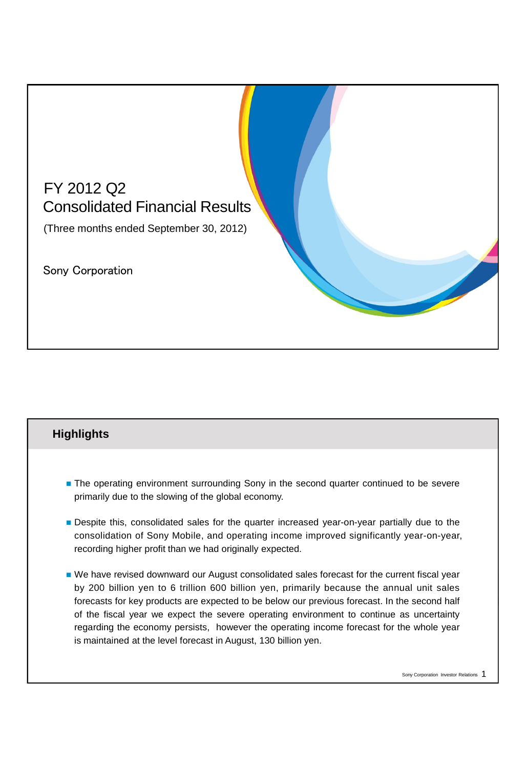

# **The operating environment surrounding Sony in the second quarter continued to be severe** primarily due to the slowing of the global economy.

**Highlights**

- **Despite this, consolidated sales for the quarter increased year-on-year partially due to the** consolidation of Sony Mobile, and operating income improved significantly year-on-year, recording higher profit than we had originally expected.
- We have revised downward our August consolidated sales forecast for the current fiscal year by 200 billion yen to 6 trillion 600 billion yen, primarily because the annual unit sales forecasts for key products are expected to be below our previous forecast. In the second half of the fiscal year we expect the severe operating environment to continue as uncertainty regarding the economy persists, however the operating income forecast for the whole year is maintained at the level forecast in August, 130 billion yen.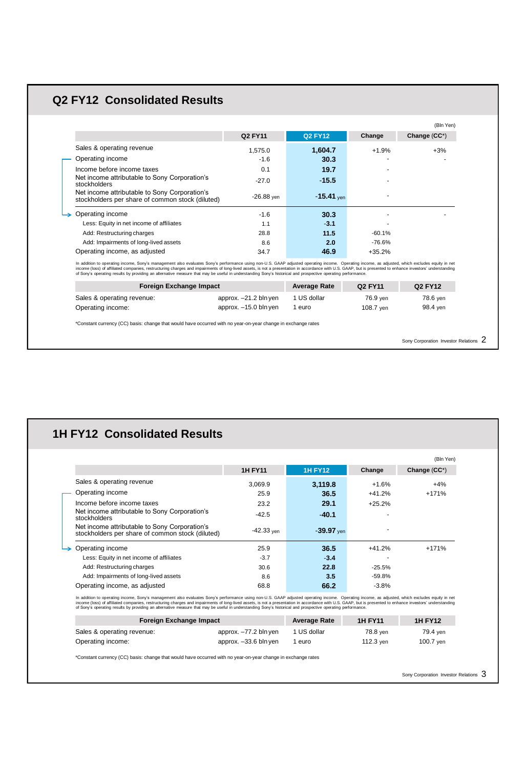# **Q2 FY12 Consolidated Results**

|                                                                                                   | <b>Q2 FY11</b> | <b>Q2 FY12</b> | Change   | Change (CC*) |
|---------------------------------------------------------------------------------------------------|----------------|----------------|----------|--------------|
| Sales & operating revenue                                                                         | 1.575.0        | 1.604.7        | $+1.9%$  | $+3%$        |
| Operating income                                                                                  | $-1.6$         | 30.3           |          |              |
| Income before income taxes                                                                        | 0.1            | 19.7           |          |              |
| Net income attributable to Sony Corporation's<br>stockholders                                     | $-27.0$        | $-15.5$        |          |              |
| Net income attributable to Sony Corporation's<br>stockholders per share of common stock (diluted) | $-26.88$ yen   | $-15.41$ yen   |          |              |
| Operating income                                                                                  | $-1.6$         | 30.3           |          |              |
| Less: Equity in net income of affiliates                                                          | 1.1            | $-3.1$         |          |              |
| Add: Restructuring charges                                                                        | 28.8           | 11.5           | $-60.1%$ |              |
| Add: Impairments of long-lived assets                                                             | 8.6            | 2.0            | $-76.6%$ |              |
| Operating income, as adjusted                                                                     | 34.7           | 46.9           | $+35.2%$ |              |

income (loss) of affiliated companies, restructuring charges and impairments of long-livel assets, is not a presentation in accordance with U.S. GAAP, but is presented to enhance investors' understanding<br>of Sony's operatin

| <b>Foreign Exchange Impact</b> |                       | <b>Average Rate</b> | Q2 FY11   | Q2 FY12  |
|--------------------------------|-----------------------|---------------------|-----------|----------|
| Sales & operating revenue:     | approx. -21.2 bln yen | 1 US dollar         | 76.9 ven  | 78.6 ven |
| Operating income:              | approx. -15.0 bln yen | euro                | 108.7 ven | 98.4 ven |

\*Constant currency (CC) basis: change that would have occurred with no year-on-year change in exchange rates

Sony Corporation Investor Relations 2

# **1H FY12 Consolidated Results**

|                                                                                                   |                |                |          | (Bln Yen)    |
|---------------------------------------------------------------------------------------------------|----------------|----------------|----------|--------------|
|                                                                                                   | <b>1H FY11</b> | <b>1H FY12</b> | Change   | Change (CC*) |
| Sales & operating revenue                                                                         | 3.069.9        | 3,119.8        | $+1.6%$  | $+4%$        |
| Operating income                                                                                  | 25.9           | 36.5           | $+41.2%$ | $+171%$      |
| Income before income taxes                                                                        | 23.2           | 29.1           | $+25.2%$ |              |
| Net income attributable to Sony Corporation's<br>stockholders                                     | $-42.5$        | $-40.1$        |          |              |
| Net income attributable to Sony Corporation's<br>stockholders per share of common stock (diluted) | $-42.33$ ven   | $-39.97$ ven   | ۰.       |              |
| Operating income                                                                                  | 25.9           | 36.5           | $+41.2%$ | $+171%$      |
| Less: Equity in net income of affiliates                                                          | $-3.7$         | $-3.4$         | -        |              |
| Add: Restructuring charges                                                                        | 30.6           | 22.8           | $-25.5%$ |              |
| Add: Impairments of long-lived assets                                                             | 8.6            | 3.5            | -59.8%   |              |
| Operating income, as adjusted                                                                     | 68.8           | 66.2           | $-3.8%$  |              |

In addition to operating income, Sony's management also evaluates Sony's performance using non-U.S. GAAP adjusted operating income. Operating income, as adjusted, which excludes equity in net<br>income (loss) of affiliated co

| <b>Foreign Exchange Impact</b> |                       | <b>Average Rate</b> | <b>1H FY11</b> | <b>1H FY12</b> |
|--------------------------------|-----------------------|---------------------|----------------|----------------|
| Sales & operating revenue:     | approx. -77.2 bln ven | 1 US dollar         | 78.8 ven       | 79.4 ven       |
| Operating income:              | approx. -33.6 bln yen | euro                | 112.3 ven      | 100.7 ven      |

\*Constant currency (CC) basis: change that would have occurred with no year-on-year change in exchange rates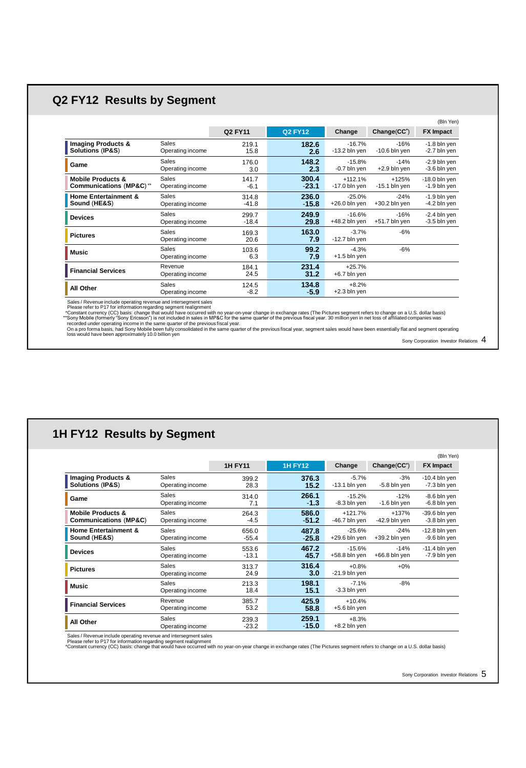# **Q2 FY12 Results by Segment**

|                                                        |                                  |                  |                  |                              |                            | (Bln Yen)                         |
|--------------------------------------------------------|----------------------------------|------------------|------------------|------------------------------|----------------------------|-----------------------------------|
|                                                        |                                  | Q2 FY11          | <b>Q2 FY12</b>   | Change                       | Change(CC <sup>'</sup> )   | <b>FX Impact</b>                  |
| <b>Imaging Products &amp;</b><br>Solutions (IP&S)      | Sales<br>Operating income        | 219.1<br>15.8    | 182.6<br>2.6     | $-16.7%$<br>$-13.2$ bln yen  | $-16%$<br>$-10.6$ bln yen  | $-1.8$ bln yen<br>-2.7 bln yen    |
| Game                                                   | <b>Sales</b><br>Operating income | 176.0<br>3.0     | 148.2<br>2.3     | $-15.8%$<br>-0.7 bln yen     | $-14%$<br>$+2.9$ bln yen   | $-2.9$ bln yen<br>-3.6 bln yen    |
| <b>Mobile Products &amp;</b><br>Communications (MP&C)" | Sales<br>Operating income        | 141.7<br>$-6.1$  | 300.4<br>$-23.1$ | $+112.1%$<br>$-17.0$ bln yen | $+125%$<br>$-15.1$ bln yen | $-18.0$ bln yen<br>$-1.9$ bln yen |
| <b>Home Entertainment &amp;</b><br>Sound (HE&S)        | <b>Sales</b><br>Operating income | 314.8<br>$-41.8$ | 236.0<br>$-15.8$ | $-25.0%$<br>$+26.0$ bln yen  | $-24%$<br>$+30.2$ bln yen  | $-1.9$ bln yen<br>-4.2 bln yen    |
| <b>Devices</b>                                         | Sales<br>Operating income        | 299.7<br>$-18.4$ | 249.9<br>29.8    | $-16.6%$<br>+48.2 bln yen    | $-16%$<br>$+51.7$ bln yen  | $-2.4$ bln yen<br>-3.5 bln yen    |
| <b>Pictures</b>                                        | <b>Sales</b><br>Operating income | 169.3<br>20.6    | 163.0<br>7.9     | $-3.7%$<br>$-12.7$ bln yen   | $-6%$                      |                                   |
| <b>Music</b>                                           | Sales<br>Operating income        | 103.6<br>6.3     | 99.2<br>7.9      | $-4.3%$<br>$+1.5$ bln yen    | $-6%$                      |                                   |
| <b>Financial Services</b>                              | Revenue<br>Operating income      | 184.1<br>24.5    | 231.4<br>31.2    | $+25.7%$<br>+6.7 bln yen     |                            |                                   |
| All Other                                              | Sales<br>Operating income        | 124.5<br>$-8.2$  | 134.8<br>$-5.9$  | $+8.2%$<br>$+2.3$ bln yen    |                            |                                   |

Slates / Revenue include operating revenue and intersegment states<br>• Please refer to P17 for information regarding segment realignment<br>• "Constant currency (CC) basis: change that would have occurred with no year-on-year c

Sony Corporation Investor Relations 4

## **1H FY12 Results by Segment**

|                                                                  |                             |                  |                  |                             |                           | (Bln Yen)                       |
|------------------------------------------------------------------|-----------------------------|------------------|------------------|-----------------------------|---------------------------|---------------------------------|
|                                                                  |                             | <b>1H FY11</b>   | <b>1H FY12</b>   | Change                      | Change(CC <sup>'</sup> )  | <b>FX Impact</b>                |
| <b>Imaging Products &amp;</b><br>Solutions (IP&S)                | Sales<br>Operating income   | 399.2<br>28.3    | 376.3<br>15.2    | $-5.7%$<br>$-13.1$ bln yen  | $-3%$<br>-5.8 bln yen     | $-10.4$ bln yen<br>-7.3 bln yen |
| Game                                                             | Sales<br>Operating income   | 314.0<br>7.1     | 266.1<br>$-1.3$  | $-15.2%$<br>-8.3 bln yen    | $-12%$<br>$-1.6$ bln yen  | $-8.6$ bln yen<br>-6.8 bln yen  |
| <b>Mobile Products &amp;</b><br><b>Communications (MP&amp;C)</b> | Sales<br>Operating income   | 264.3<br>$-4.5$  | 586.0<br>$-51.2$ | $+121.7%$<br>-46.7 bln yen  | $+137%$<br>-42.9 bln yen  | $-39.6$ bln yen<br>-3.8 bln yen |
| <b>Home Entertainment &amp;</b><br>Sound (HE&S)                  | Sales<br>Operating income   | 656.0<br>$-55.4$ | 487.8<br>$-25.8$ | $-25.6%$<br>+29.6 bln yen   | $-24%$<br>$+39.2$ bln yen | $-12.8$ bln yen<br>-9.6 bln yen |
| <b>Devices</b>                                                   | Sales<br>Operating income   | 553.6<br>$-13.1$ | 467.2<br>45.7    | $-15.6%$<br>$+58.8$ bln yen | $-14%$<br>$+66.8$ bln yen | $-11.4$ bln yen<br>-7.9 bln yen |
| <b>Pictures</b>                                                  | Sales<br>Operating income   | 313.7<br>24.9    | 316.4<br>3.0     | $+0.8%$<br>$-21.9$ bln yen  | $+0\%$                    |                                 |
| Music                                                            | Sales<br>Operating income   | 213.3<br>18.4    | 198.1<br>15.1    | $-7.1%$<br>-3.3 bln yen     | $-8%$                     |                                 |
| <b>Financial Services</b>                                        | Revenue<br>Operating income | 385.7<br>53.2    | 425.9<br>58.8    | $+10.4%$<br>$+5.6$ bln yen  |                           |                                 |
| All Other                                                        | Sales<br>Operating income   | 239.3<br>$-23.2$ | 259.1<br>$-15.0$ | $+8.3%$<br>$+8.2$ bln yen   |                           |                                 |

. Sales / Revenue include operating revenue and intersegment sales<br>. Please refer to P17 for information regarding segment realignment<br>\*Constant currency (CC) basis: change that would have occurred with no year-on-year cha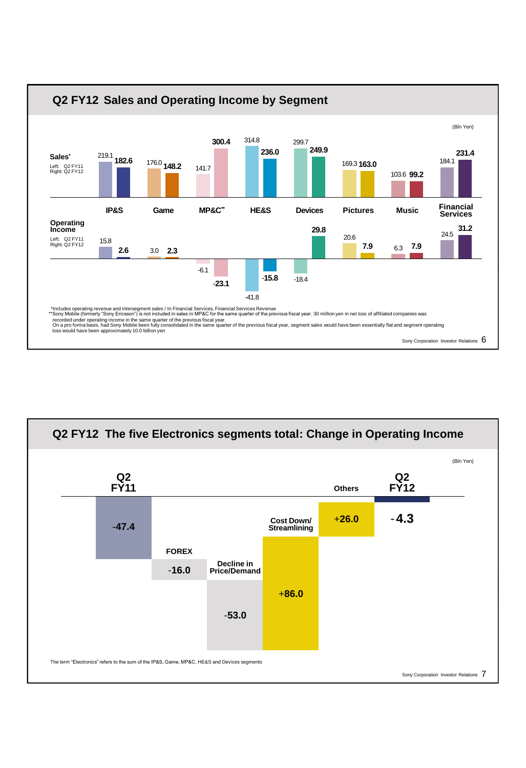

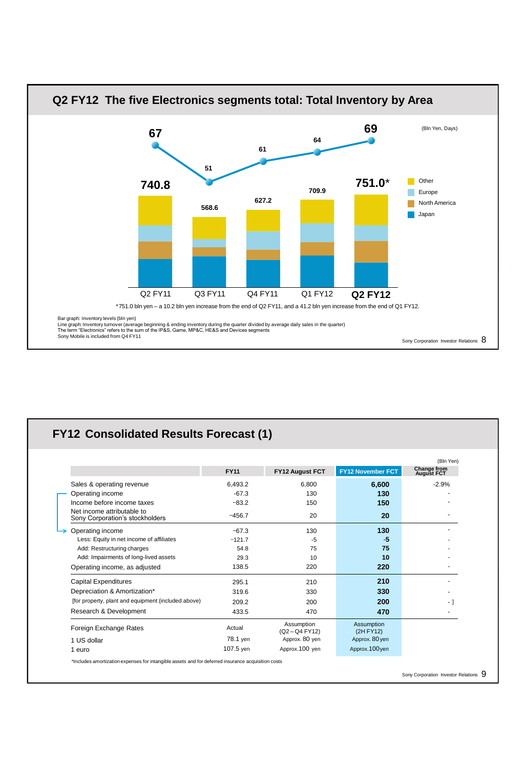

# **FY12 Consolidated Results Forecast (1)**

|                                                               |             |                            |                         | (Bln Yen)                               |
|---------------------------------------------------------------|-------------|----------------------------|-------------------------|-----------------------------------------|
|                                                               | <b>FY11</b> | FY12 August FCT            | FY12 November FCT       | <b>Change from</b><br><b>August FCT</b> |
| Sales & operating revenue                                     | 6,493.2     | 6,800                      | 6,600                   | $-2.9%$                                 |
| Operating income                                              | $-67.3$     | 130                        | 130                     |                                         |
| Income before income taxes                                    | $-83.2$     | 150                        | 150                     |                                         |
| Net income attributable to<br>Sony Corporation's stockholders | $-456.7$    | 20                         | 20                      |                                         |
| Operating income                                              | $-67.3$     | 130                        | 130                     |                                         |
| Less: Equity in net income of affiliates                      | $-121.7$    | -5                         | -5                      |                                         |
| Add: Restructuring charges                                    | 54.8        | 75                         | 75                      |                                         |
| Add: Impairments of long-lived assets                         | 29.3        | 10                         | 10                      |                                         |
| Operating income, as adjusted                                 | 138.5       | 220                        | 220                     |                                         |
| <b>Capital Expenditures</b>                                   | 295.1       | 210                        | 210                     |                                         |
| Depreciation & Amortization*                                  | 319.6       | 330                        | 330                     |                                         |
| [for property, plant and equipment (included above)           | 209.2       | 200                        | <b>200</b>              | - 1                                     |
| Research & Development                                        | 433.5       | 470                        | 470                     |                                         |
| Foreign Exchange Rates                                        | Actual      | Assumption<br>(Q2-Q4 FY12) | Assumption<br>(2H FY12) |                                         |
| 1 US dollar                                                   | 78.1 yen    | Approx. 80 yen             | Approx. 80 yen          |                                         |
| 1 euro                                                        | 107.5 yen   | Approx.100 yen             | Approx.100yen           |                                         |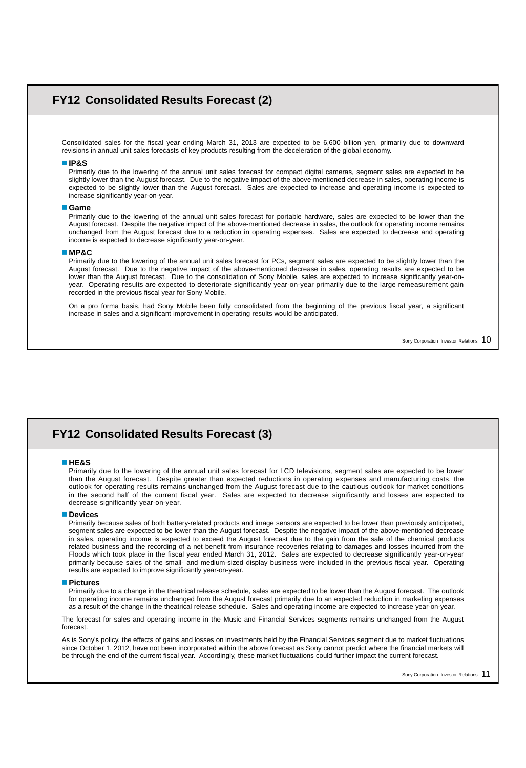## **FY12 Consolidated Results Forecast (2)**

Consolidated sales for the fiscal year ending March 31, 2013 are expected to be 6,600 billion yen, primarily due to downward revisions in annual unit sales forecasts of key products resulting from the deceleration of the global economy.

#### **IP&S**

Primarily due to the lowering of the annual unit sales forecast for compact digital cameras, segment sales are expected to be slightly lower than the August forecast. Due to the negative impact of the above-mentioned decrease in sales, operating income is expected to be slightly lower than the August forecast. Sales are expected to increase and operating income is expected to increase significantly year-on-year.

## **Game**

Primarily due to the lowering of the annual unit sales forecast for portable hardware, sales are expected to be lower than the August forecast. Despite the negative impact of the above-mentioned decrease in sales, the outlook for operating income remains unchanged from the August forecast due to a reduction in operating expenses. Sales are expected to decrease and operating income is expected to decrease significantly year-on-year.

### **MP&C**

Primarily due to the lowering of the annual unit sales forecast for PCs, segment sales are expected to be slightly lower than the August forecast. Due to the negative impact of the above-mentioned decrease in sales, operating results are expected to be lower than the August forecast. Due to the consolidation of Sony Mobile, sales are expected to increase significantly year-onyear. Operating results are expected to deteriorate significantly year-on-year primarily due to the large remeasurement gain recorded in the previous fiscal year for Sony Mobile.

On a pro forma basis, had Sony Mobile been fully consolidated from the beginning of the previous fiscal year, a significant increase in sales and a significant improvement in operating results would be anticipated.

Sony Corporation Investor Relations 10

## **FY12 Consolidated Results Forecast (3)**

#### **HE&S**

Primarily due to the lowering of the annual unit sales forecast for LCD televisions, segment sales are expected to be lower than the August forecast. Despite greater than expected reductions in operating expenses and manufacturing costs, the outlook for operating results remains unchanged from the August forecast due to the cautious outlook for market conditions in the second half of the current fiscal year. Sales are expected to decrease significantly and losses are expected to decrease significantly year-on-year.

## **Devices**

Primarily because sales of both battery-related products and image sensors are expected to be lower than previously anticipated, segment sales are expected to be lower than the August forecast. Despite the negative impact of the above-mentioned decrease in sales, operating income is expected to exceed the August forecast due to the gain from the sale of the chemical products related business and the recording of a net benefit from insurance recoveries relating to damages and losses incurred from the Floods which took place in the fiscal year ended March 31, 2012. Sales are expected to decrease significantly year-on-year primarily because sales of the small- and medium-sized display business were included in the previous fiscal year. Operating results are expected to improve significantly year-on-year.

#### **Pictures**

Primarily due to a change in the theatrical release schedule, sales are expected to be lower than the August forecast. The outlook for operating income remains unchanged from the August forecast primarily due to an expected reduction in marketing expenses as a result of the change in the theatrical release schedule. Sales and operating income are expected to increase year-on-year.

The forecast for sales and operating income in the Music and Financial Services segments remains unchanged from the August forecast.

As is Sony's policy, the effects of gains and losses on investments held by the Financial Services segment due to market fluctuations since October 1, 2012, have not been incorporated within the above forecast as Sony cannot predict where the financial markets will be through the end of the current fiscal year. Accordingly, these market fluctuations could further impact the current forecast.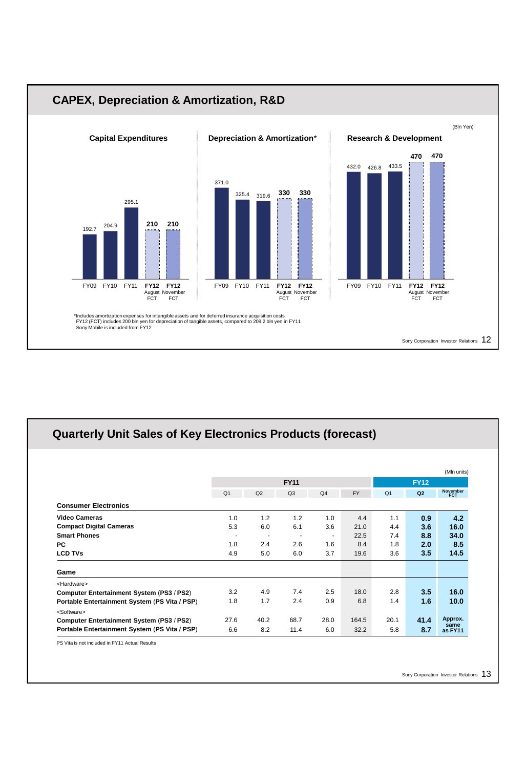

# **Quarterly Unit Sales of Key Electronics Products (forecast)**

|                                               |                |      |             |                |           |                |             | (MIn units)     |
|-----------------------------------------------|----------------|------|-------------|----------------|-----------|----------------|-------------|-----------------|
|                                               |                |      | <b>FY11</b> |                |           |                | <b>FY12</b> |                 |
|                                               | Q <sub>1</sub> | Q2   | Q3          | Q <sub>4</sub> | <b>FY</b> | Q <sub>1</sub> | Q2          | November<br>FCT |
| <b>Consumer Electronics</b>                   |                |      |             |                |           |                |             |                 |
| <b>Video Cameras</b>                          | 1.0            | 1.2  | 1.2         | 1.0            | 4.4       | 1.1            | 0.9         | 4.2             |
| <b>Compact Digital Cameras</b>                | 5.3            | 6.0  | 6.1         | 3.6            | 21.0      | 4.4            | 3.6         | 16.0            |
| <b>Smart Phones</b>                           | $\sim$         | ۰    |             | ٠              | 22.5      | 7.4            | 8.8         | 34.0            |
| <b>PC</b>                                     | 1.8            | 2.4  | 2.6         | 1.6            | 8.4       | 1.8            | 2.0         | 8.5             |
| <b>LCD TVs</b>                                | 4.9            | 5.0  | 6.0         | 3.7            | 19.6      | 3.6            | 3.5         | 14.5            |
| Game                                          |                |      |             |                |           |                |             |                 |
| <hardware></hardware>                         |                |      |             |                |           |                |             |                 |
| Computer Entertainment System (PS3 / PS2)     | 3.2            | 4.9  | 7.4         | 2.5            | 18.0      | 2.8            | 3.5         | 16.0            |
| Portable Entertainment System (PS Vita / PSP) | 1.8            | 1.7  | 2.4         | 0.9            | 6.8       | 1.4            | 1.6         | 10.0            |
| <software></software>                         |                |      |             |                |           |                |             |                 |
| Computer Entertainment System (PS3 / PS2)     | 27.6           | 40.2 | 68.7        | 28.0           | 164.5     | 20.1           | 41.4        | Approx.         |
| Portable Entertainment System (PS Vita / PSP) | 6.6            | 8.2  | 11.4        | 6.0            | 32.2      | 5.8            | 8.7         | same<br>as FY11 |

PS Vita is not included in FY11 Actual Results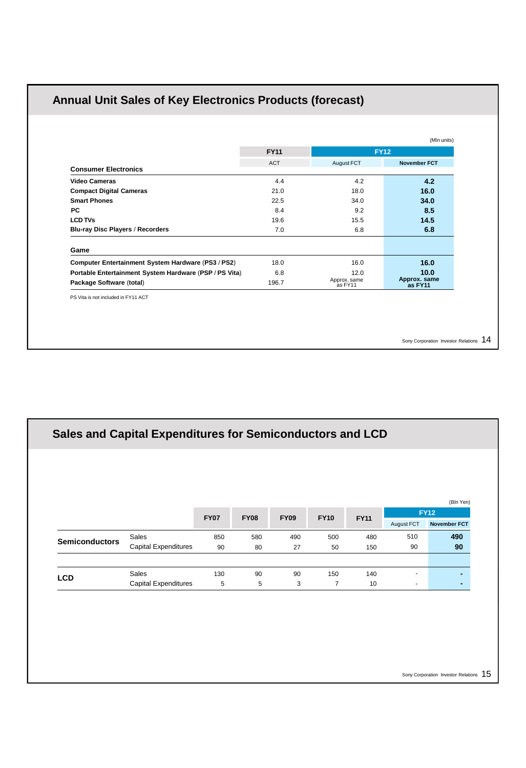# **Annual Unit Sales of Key Electronics Products (forecast)**

|                                                        | <b>FY11</b> |                         | <b>FY12</b>             |
|--------------------------------------------------------|-------------|-------------------------|-------------------------|
|                                                        | <b>ACT</b>  | August FCT              | <b>November FCT</b>     |
| <b>Consumer Electronics</b>                            |             |                         |                         |
| <b>Video Cameras</b>                                   | 4.4         | 4.2                     | 4.2                     |
| <b>Compact Digital Cameras</b>                         | 21.0        | 18.0                    | 16.0                    |
| <b>Smart Phones</b>                                    | 22.5        | 34.0                    | 34.0                    |
| <b>PC</b>                                              | 8.4         | 9.2                     | 8.5                     |
| <b>LCD TVs</b>                                         | 19.6        | 15.5                    | 14.5                    |
| <b>Blu-ray Disc Players / Recorders</b>                | 7.0         | 6.8                     | 6.8                     |
| Game                                                   |             |                         |                         |
| Computer Entertainment System Hardware (PS3 / PS2)     | 18.0        | 16.0                    | 16.0                    |
| Portable Entertainment System Hardware (PSP / PS Vita) | 6.8         | 12.0                    | 10.0                    |
| Package Software (total)                               | 196.7       | Approx. same<br>as FY11 | Approx. same<br>as FY11 |
| PS Vita is not included in FY11 ACT                    |             |                         |                         |

Sony Corporation Investor Relations 14

|                       |                             |             |             |             |             |             |            | (Bln Yen)<br><b>FY12</b> |
|-----------------------|-----------------------------|-------------|-------------|-------------|-------------|-------------|------------|--------------------------|
|                       |                             | <b>FY07</b> | <b>FY08</b> | <b>FY09</b> | <b>FY10</b> | <b>FY11</b> | August FCT | <b>November FCT</b>      |
|                       | Sales                       | 850         | 580         | 490         | 500         | 480         | 510        | 490                      |
| <b>Semiconductors</b> | <b>Capital Expenditures</b> | 90          | 80          | 27          | 50          | 150         | 90         | 90                       |
|                       |                             |             |             |             |             |             |            |                          |
| <b>LCD</b>            | <b>Sales</b>                | 130         | 90          | 90          | 150         | 140         | ٠          | ۰                        |
|                       | <b>Capital Expenditures</b> | 5           | 5           | 3           | 7           | 10          | ٠.         | ۰                        |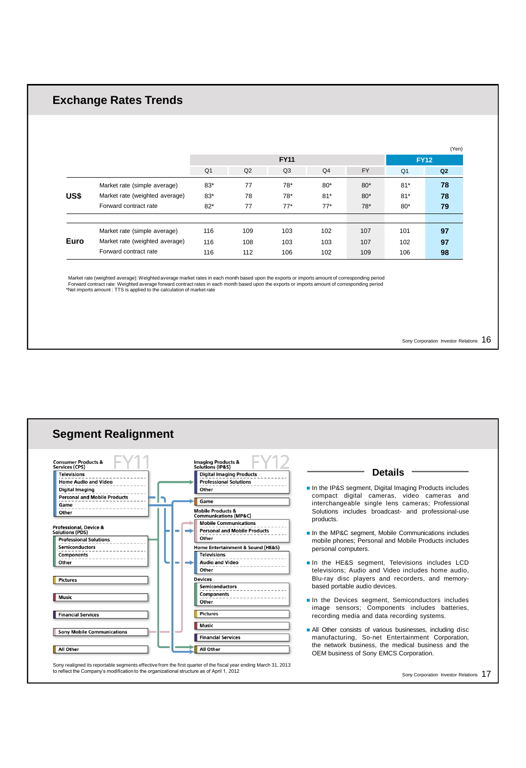## **Exchange Rates Trends**

|      |                                |                |                |                |                |           |                | (Yen)       |
|------|--------------------------------|----------------|----------------|----------------|----------------|-----------|----------------|-------------|
|      |                                |                |                | <b>FY11</b>    |                |           |                | <b>FY12</b> |
|      |                                | Q <sub>1</sub> | Q <sub>2</sub> | Q <sub>3</sub> | Q <sub>4</sub> | <b>FY</b> | Q <sub>1</sub> | Q2          |
|      | Market rate (simple average)   | $83*$          | 77             | 78*            | $80*$          | $80*$     | $81*$          | 78          |
| US\$ | Market rate (weighted average) | $83*$          | 78             | 78*            | $81*$          | $80*$     | $81*$          | 78          |
|      | Forward contract rate          | $82*$          | 77             | $77*$          | $77*$          | $78*$     | $80*$          | 79          |
|      |                                |                |                |                |                |           |                |             |
|      | Market rate (simple average)   | 116            | 109            | 103            | 102            | 107       | 101            | 97          |
| Euro | Market rate (weighted average) | 116            | 108            | 103            | 103            | 107       | 102            | 97          |
|      | Forward contract rate          | 116            | 112            | 106            | 102            | 109       | 106            | 98          |

Market rate (weighted average): Weighted average market rates in each month based upon the exports or imports amount of corresponding period<br>Forward contract rate: Weighted average forward contract rates in each month base

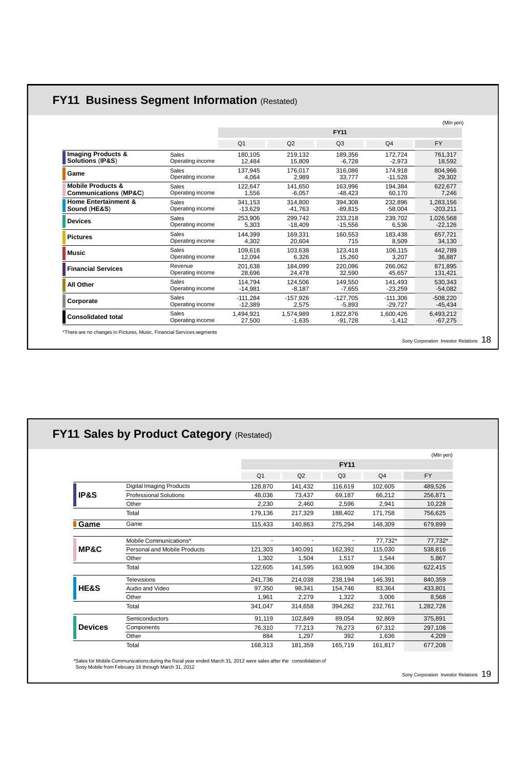|                                  |                  |                |            |                |                | (Mln yen)  |
|----------------------------------|------------------|----------------|------------|----------------|----------------|------------|
|                                  |                  |                |            | <b>FY11</b>    |                |            |
|                                  |                  | Q <sub>1</sub> | Q2         | Q <sub>3</sub> | Q <sub>4</sub> | <b>FY</b>  |
| <b>Imaging Products &amp;</b>    | Sales            | 180.105        | 219.132    | 189.356        | 172.724        | 761.317    |
| Solutions (IP&S)                 | Operating income | 12.484         | 15.809     | $-6.728$       | $-2,973$       | 18,592     |
| Game                             | Sales            | 137.945        | 176.017    | 316.086        | 174.918        | 804.966    |
|                                  | Operating income | 4.064          | 2.989      | 33.777         | $-11.528$      | 29.302     |
| <b>Mobile Products &amp;</b>     | Sales            | 122.647        | 141.650    | 163.996        | 194.384        | 622.677    |
| <b>Communications (MP&amp;C)</b> | Operating income | 1.556          | $-6.057$   | $-48.423$      | 60.170         | 7.246      |
| <b>Home Entertainment &amp;</b>  | <b>Sales</b>     | 341.153        | 314.800    | 394.308        | 232.896        | 1,283,156  |
| Sound (HE&S)                     | Operating income | $-13.629$      | $-41.763$  | $-89.815$      | $-58.004$      | $-203.211$ |
| <b>Devices</b>                   | Sales            | 253.906        | 299.742    | 233.218        | 239.702        | 1,026,568  |
|                                  | Operating income | 5.303          | $-18.409$  | $-15.556$      | 6.536          | $-22.126$  |
| <b>Pictures</b>                  | Sales            | 144.399        | 169.331    | 160.553        | 183.438        | 657.721    |
|                                  | Operating income | 4.302          | 20.604     | 715            | 8.509          | 34.130     |
| Music                            | <b>Sales</b>     | 109.618        | 103.638    | 123.418        | 106.115        | 442.789    |
|                                  | Operating income | 12.094         | 6.326      | 15.260         | 3.207          | 36.887     |
| <b>Financial Services</b>        | Revenue          | 201.638        | 184.099    | 220.096        | 266.062        | 871.895    |
|                                  | Operating income | 28.696         | 24.478     | 32.590         | 45.657         | 131,421    |
| All Other                        | Sales            | 114.794        | 124.506    | 149.550        | 141.493        | 530.343    |
|                                  | Operating income | $-14.981$      | $-8.187$   | $-7.655$       | $-23.259$      | $-54.082$  |
| Corporate                        | <b>Sales</b>     | $-111.284$     | $-157.926$ | $-127.705$     | $-111.306$     | $-508.220$ |
|                                  | Operating income | $-12.389$      | 2.575      | $-5,893$       | $-29.727$      | $-45.434$  |
| <b>Consolidated total</b>        | Sales            | 1.494.921      | 1.574.989  | 1,822,876      | 1.600.426      | 6,493,212  |
|                                  | Operating income | 27.500         | $-1.635$   | $-91.728$      | $-1.412$       | $-67.275$  |

# **FY11 Business Segment Information** (Restated)

\*There are no changes in Pictures, Music, Financial Services segments

Sony Corporation Investor Relations 18

| FY11 Sales by Product Category (Restated) |                                 |                |         |                |                |           |  |
|-------------------------------------------|---------------------------------|----------------|---------|----------------|----------------|-----------|--|
|                                           |                                 |                |         |                |                | (Mln yen) |  |
|                                           |                                 | <b>FY11</b>    |         |                |                |           |  |
|                                           |                                 | Q <sub>1</sub> | Q2      | Q <sub>3</sub> | Q <sub>4</sub> | <b>FY</b> |  |
| IP&S                                      | <b>Digital Imaging Products</b> | 128,870        | 141,432 | 116,619        | 102,605        | 489,526   |  |
|                                           | <b>Professional Solutions</b>   | 48.036         | 73,437  | 69,187         | 66,212         | 256,871   |  |
|                                           | Other                           | 2,230          | 2.460   | 2,596          | 2.941          | 10,228    |  |
|                                           | Total                           | 179.136        | 217,329 | 188.402        | 171.758        | 756,625   |  |
| Game                                      | Game                            | 115,433        | 140,863 | 275,294        | 148,309        | 679,899   |  |
| MP&C                                      | Mobile Communications*          |                |         |                | 77.732*        | 77.732*   |  |
|                                           | Personal and Mobile Products    | 121,303        | 140,091 | 162,392        | 115,030        | 538,816   |  |
|                                           | Other                           | 1,302          | 1,504   | 1,517          | 1.544          | 5,867     |  |
|                                           | Total                           | 122,605        | 141,595 | 163,909        | 194,306        | 622,415   |  |
| HE&S                                      | <b>Televisions</b>              | 241,736        | 214,038 | 238,194        | 146.391        | 840.359   |  |
|                                           | Audio and Video                 | 97.350         | 98,341  | 154,746        | 83,364         | 433,801   |  |
|                                           | Other                           | 1,961          | 2,279   | 1,322          | 3,006          | 8,568     |  |
|                                           | Total                           | 341.047        | 314,658 | 394,262        | 232,761        | 1,282,728 |  |
| <b>Devices</b>                            | <b>Semiconductors</b>           | 91,119         | 102,849 | 89,054         | 92,869         | 375,891   |  |
|                                           | Components                      | 76,310         | 77,213  | 76,273         | 67.312         | 297,108   |  |
|                                           | Other                           | 884            | 1,297   | 392            | 1,636          | 4,209     |  |
|                                           | Total                           | 168,313        | 181.359 | 165.719        | 161.817        | 677,208   |  |

\*Sales for Mobile Communications during the fiscal year ended March 31, 2012 were sales after the consolidation of Sony Mobile from February 16 through March 31, 2012